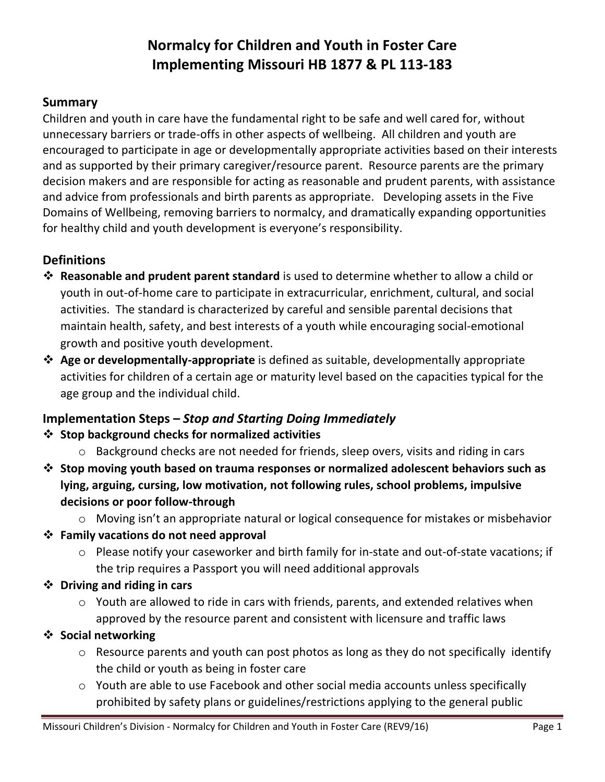# **Normalcy for Children and Youth in Foster Care Implementing Missouri HB 1877 & PL 113-183**

#### **Summary**

Children and youth in care have the fundamental right to be safe and well cared for, without unnecessary barriers or trade-offs in other aspects of wellbeing. All children and youth are encouraged to participate in age or developmentally appropriate activities based on their interests and as supported by their primary caregiver/resource parent. Resource parents are the primary decision makers and are responsible for acting as reasonable and prudent parents, with assistance and advice from professionals and birth parents as appropriate. Developing assets in the Five Domains of Wellbeing, removing barriers to normalcy, and dramatically expanding opportunities for healthy child and youth development is everyone's responsibility.

#### **Definitions**

- **Reasonable and prudent parent standard** is used to determine whether to allow a child or youth in out-of-home care to participate in extracurricular, enrichment, cultural, and social activities. The standard is characterized by careful and sensible parental decisions that maintain health, safety, and best interests of a youth while encouraging social-emotional growth and positive youth development.
- **Age or developmentally-appropriate** is defined as suitable, developmentally appropriate activities for children of a certain age or maturity level based on the capacities typical for the age group and the individual child.

## **Implementation Steps –** *Stop and Starting Doing Immediately*

#### **Stop background checks for normalized activities**

- $\circ$  Background checks are not needed for friends, sleep overs, visits and riding in cars
- **Stop moving youth based on trauma responses or normalized adolescent behaviors such as lying, arguing, cursing, low motivation, not following rules, school problems, impulsive decisions or poor follow-through**
	- o Moving isn't an appropriate natural or logical consequence for mistakes or misbehavior
- **Family vacations do not need approval**
	- o Please notify your caseworker and birth family for in-state and out-of-state vacations; if the trip requires a Passport you will need additional approvals
- **Driving and riding in cars**
	- o Youth are allowed to ride in cars with friends, parents, and extended relatives when approved by the resource parent and consistent with licensure and traffic laws

#### **Social networking**

- o Resource parents and youth can post photos as long as they do not specifically identify the child or youth as being in foster care
- $\circ$  Youth are able to use Facebook and other social media accounts unless specifically prohibited by safety plans or guidelines/restrictions applying to the general public